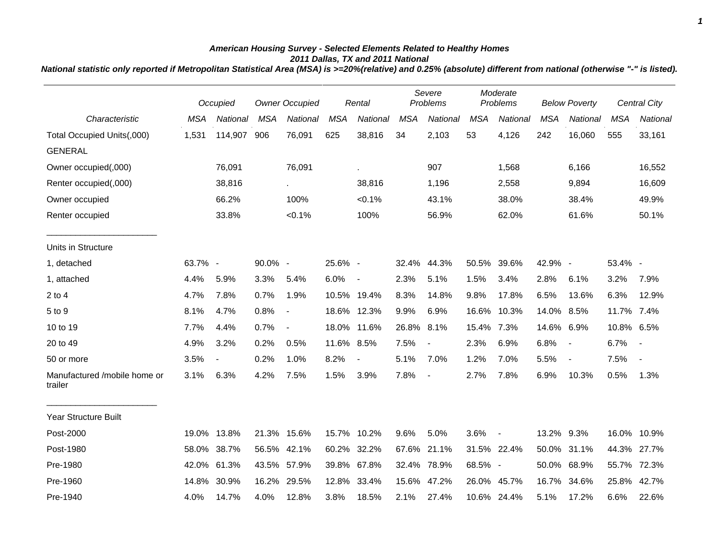## *American Housing Survey - Selected Elements Related to Healthy Homes 2011 Dallas, TX and 2011 National*

*National statistic only reported if Metropolitan Statistical Area (MSA) is >=20%(relative) and 0.25% (absolute) different from national (otherwise "-" is listed).*

|                                         |            | Occupied                 | <b>Owner Occupied</b> |                          | Rental     |                          | Severe<br>Problems |                          | Moderate<br>Problems |                          | <b>Below Poverty</b> |                          |            | <b>Central City</b>      |
|-----------------------------------------|------------|--------------------------|-----------------------|--------------------------|------------|--------------------------|--------------------|--------------------------|----------------------|--------------------------|----------------------|--------------------------|------------|--------------------------|
| Characteristic                          | <b>MSA</b> | National                 | <b>MSA</b>            | National                 | <b>MSA</b> | National                 | <b>MSA</b>         | National                 | <b>MSA</b>           | National                 | <b>MSA</b>           | National                 | <b>MSA</b> | <b>National</b>          |
| Total Occupied Units(,000)              | 1,531      | 114,907                  | 906                   | 76,091                   | 625        | 38,816                   | 34                 | 2,103                    | 53                   | 4,126                    | 242                  | 16,060                   | 555        | 33,161                   |
| <b>GENERAL</b>                          |            |                          |                       |                          |            |                          |                    |                          |                      |                          |                      |                          |            |                          |
| Owner occupied(,000)                    |            | 76,091                   |                       | 76,091                   |            |                          |                    | 907                      |                      | 1,568                    |                      | 6,166                    |            | 16,552                   |
| Renter occupied(,000)                   |            | 38,816                   |                       | $\sim$                   |            | 38,816                   |                    | 1,196                    |                      | 2,558                    |                      | 9,894                    |            | 16,609                   |
| Owner occupied                          |            | 66.2%                    |                       | 100%                     |            | $< 0.1\%$                |                    | 43.1%                    |                      | 38.0%                    |                      | 38.4%                    |            | 49.9%                    |
| Renter occupied                         |            | 33.8%                    |                       | $< 0.1\%$                |            | 100%                     |                    | 56.9%                    |                      | 62.0%                    |                      | 61.6%                    |            | 50.1%                    |
| Units in Structure                      |            |                          |                       |                          |            |                          |                    |                          |                      |                          |                      |                          |            |                          |
| 1, detached                             | 63.7% -    |                          | 90.0% -               |                          | 25.6% -    |                          | 32.4%              | 44.3%                    | 50.5%                | 39.6%                    | 42.9% -              |                          | 53.4% -    |                          |
| 1, attached                             | 4.4%       | 5.9%                     | 3.3%                  | 5.4%                     | 6.0%       | $\blacksquare$           | 2.3%               | 5.1%                     | 1.5%                 | 3.4%                     | 2.8%                 | 6.1%                     | 3.2%       | 7.9%                     |
| $2$ to $4$                              | 4.7%       | 7.8%                     | 0.7%                  | 1.9%                     |            | 10.5% 19.4%              | 8.3%               | 14.8%                    | 9.8%                 | 17.8%                    | 6.5%                 | 13.6%                    | 6.3%       | 12.9%                    |
| 5 to 9                                  | 8.1%       | 4.7%                     | 0.8%                  | $\overline{\phantom{a}}$ |            | 18.6% 12.3%              | 9.9%               | 6.9%                     | 16.6%                | 10.3%                    | 14.0% 8.5%           |                          | 11.7% 7.4% |                          |
| 10 to 19                                | 7.7%       | 4.4%                     | 0.7%                  | $\blacksquare$           |            | 18.0% 11.6%              | 26.8% 8.1%         |                          | 15.4% 7.3%           |                          | 14.6% 6.9%           |                          | 10.8% 6.5% |                          |
| 20 to 49                                | 4.9%       | 3.2%                     | 0.2%                  | 0.5%                     | 11.6% 8.5% |                          | 7.5%               | $\overline{\phantom{a}}$ | 2.3%                 | 6.9%                     | 6.8%                 | $\blacksquare$           | 6.7%       | $\overline{\phantom{a}}$ |
| 50 or more                              | 3.5%       | $\overline{\phantom{a}}$ | 0.2%                  | 1.0%                     | 8.2%       | $\overline{\phantom{a}}$ | 5.1%               | 7.0%                     | 1.2%                 | 7.0%                     | 5.5%                 | $\overline{\phantom{a}}$ | 7.5%       | $\blacksquare$           |
| Manufactured /mobile home or<br>trailer | 3.1%       | 6.3%                     | 4.2%                  | 7.5%                     | 1.5%       | 3.9%                     | 7.8%               | $\blacksquare$           | 2.7%                 | 7.8%                     | 6.9%                 | 10.3%                    | 0.5%       | 1.3%                     |
| <b>Year Structure Built</b>             |            |                          |                       |                          |            |                          |                    |                          |                      |                          |                      |                          |            |                          |
| Post-2000                               | 19.0%      | 13.8%                    |                       | 21.3% 15.6%              |            | 15.7% 10.2%              | 9.6%               | 5.0%                     | 3.6%                 | $\overline{\phantom{a}}$ | 13.2% 9.3%           |                          |            | 16.0% 10.9%              |
| Post-1980                               | 58.0%      | 38.7%                    | 56.5%                 | 42.1%                    |            | 60.2% 32.2%              | 67.6%              | 21.1%                    |                      | 31.5% 22.4%              | 50.0%                | 31.1%                    | 44.3%      | 27.7%                    |
| Pre-1980                                | 42.0%      | 61.3%                    | 43.5%                 | 57.9%                    | 39.8%      | 67.8%                    | 32.4%              | 78.9%                    | 68.5% -              |                          | 50.0%                | 68.9%                    | 55.7%      | 72.3%                    |
| Pre-1960                                | 14.8%      | 30.9%                    | 16.2%                 | 29.5%                    | 12.8%      | 33.4%                    | 15.6%              | 47.2%                    | 26.0%                | 45.7%                    | 16.7%                | 34.6%                    | 25.8%      | 42.7%                    |
| Pre-1940                                | 4.0%       | 14.7%                    | 4.0%                  | 12.8%                    | 3.8%       | 18.5%                    | 2.1%               | 27.4%                    |                      | 10.6% 24.4%              | 5.1%                 | 17.2%                    | 6.6%       | 22.6%                    |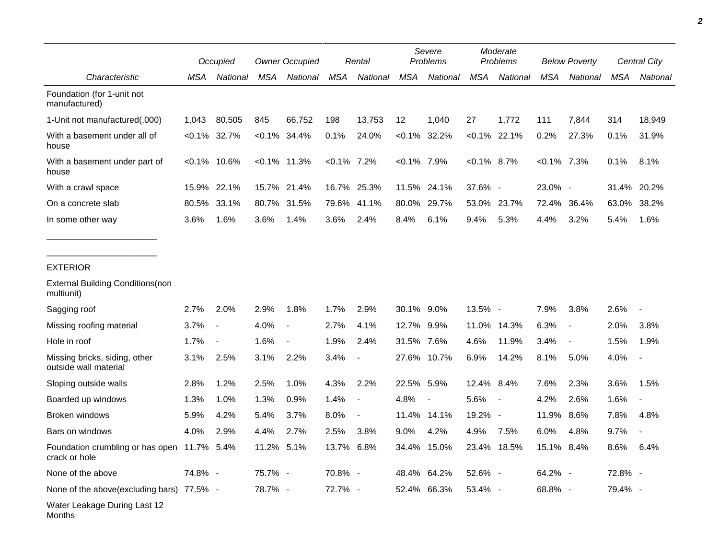|                                                              |         | Occupied                 | <b>Owner Occupied</b> |                 |                | Rental         |                | Severe<br>Problems |               | Moderate<br>Problems     |                | <b>Below Poverty</b>     |            | Central City             |
|--------------------------------------------------------------|---------|--------------------------|-----------------------|-----------------|----------------|----------------|----------------|--------------------|---------------|--------------------------|----------------|--------------------------|------------|--------------------------|
| Characteristic                                               | MSA     | National                 | MSA                   | National        | <b>MSA</b>     | National       | <b>MSA</b>     | National           | <b>MSA</b>    | National                 | MSA            | National                 | <b>MSA</b> | National                 |
| Foundation (for 1-unit not<br>manufactured)                  |         |                          |                       |                 |                |                |                |                    |               |                          |                |                          |            |                          |
| 1-Unit not manufactured(,000)                                | 1,043   | 80,505                   | 845                   | 66,752          | 198            | 13,753         | 12             | 1,040              | 27            | 1,772                    | 111            | 7,844                    | 314        | 18,949                   |
| With a basement under all of<br>house                        |         | $< 0.1\%$ 32.7%          |                       | $< 0.1\%$ 34.4% | 0.1%           | 24.0%          |                | $< 0.1\%$ 32.2%    |               | $< 0.1\%$ 22.1%          | 0.2%           | 27.3%                    | 0.1%       | 31.9%                    |
| With a basement under part of<br>house                       |         | $< 0.1\%$ 10.6%          |                       | $< 0.1\%$ 11.3% | $< 0.1\%$ 7.2% |                | $< 0.1\%$ 7.9% |                    | $<0.1\%$ 8.7% |                          | $< 0.1\%$ 7.3% |                          | 0.1%       | 8.1%                     |
| With a crawl space                                           | 15.9%   | 22.1%                    | 15.7%                 | 21.4%           | 16.7%          | 25.3%          | 11.5%          | 24.1%              | 37.6% -       |                          | 23.0% -        |                          | 31.4%      | 20.2%                    |
| On a concrete slab                                           | 80.5%   | 33.1%                    | 80.7%                 | 31.5%           | 79.6%          | 41.1%          | 80.0%          | 29.7%              | 53.0%         | 23.7%                    | 72.4%          | 36.4%                    | 63.0%      | 38.2%                    |
| In some other way                                            | 3.6%    | 1.6%                     | 3.6%                  | 1.4%            | 3.6%           | 2.4%           | 8.4%           | 6.1%               | 9.4%          | 5.3%                     | 4.4%           | 3.2%                     | 5.4%       | 1.6%                     |
| <b>EXTERIOR</b>                                              |         |                          |                       |                 |                |                |                |                    |               |                          |                |                          |            |                          |
| <b>External Building Conditions (non</b><br>multiunit)       |         |                          |                       |                 |                |                |                |                    |               |                          |                |                          |            |                          |
| Sagging roof                                                 | 2.7%    | 2.0%                     | 2.9%                  | 1.8%            | 1.7%           | 2.9%           | 30.1% 9.0%     |                    | 13.5% -       |                          | 7.9%           | 3.8%                     | 2.6%       |                          |
| Missing roofing material                                     | 3.7%    | $\overline{\phantom{a}}$ | 4.0%                  | $\blacksquare$  | 2.7%           | 4.1%           | 12.7% 9.9%     |                    | 11.0%         | 14.3%                    | 6.3%           | $\overline{\phantom{a}}$ | 2.0%       | 3.8%                     |
| Hole in roof                                                 | 1.7%    | $\blacksquare$           | 1.6%                  |                 | 1.9%           | 2.4%           | 31.5% 7.6%     |                    | 4.6%          | 11.9%                    | 3.4%           | $\overline{\phantom{a}}$ | 1.5%       | 1.9%                     |
| Missing bricks, siding, other<br>outside wall material       | 3.1%    | 2.5%                     | 3.1%                  | 2.2%            | 3.4%           | $\blacksquare$ | 27.6%          | 10.7%              | 6.9%          | 14.2%                    | 8.1%           | 5.0%                     | 4.0%       |                          |
| Sloping outside walls                                        | 2.8%    | 1.2%                     | 2.5%                  | 1.0%            | 4.3%           | 2.2%           | 22.5% 5.9%     |                    | 12.4%         | 8.4%                     | 7.6%           | 2.3%                     | 3.6%       | 1.5%                     |
| Boarded up windows                                           | 1.3%    | 1.0%                     | 1.3%                  | 0.9%            | 1.4%           | $\blacksquare$ | 4.8%           | $\blacksquare$     | 5.6%          | $\overline{\phantom{a}}$ | 4.2%           | 2.6%                     | 1.6%       | $\overline{\phantom{a}}$ |
| Broken windows                                               | 5.9%    | 4.2%                     | 5.4%                  | 3.7%            | 8.0%           | $\blacksquare$ | 11.4%          | 14.1%              | 19.2% -       |                          | 11.9%          | 8.6%                     | 7.8%       | 4.8%                     |
| Bars on windows                                              | 4.0%    | 2.9%                     | 4.4%                  | 2.7%            | 2.5%           | 3.8%           | 9.0%           | 4.2%               | 4.9%          | 7.5%                     | 6.0%           | 4.8%                     | 9.7%       |                          |
| Foundation crumbling or has open 11.7% 5.4%<br>crack or hole |         |                          | 11.2% 5.1%            |                 | 13.7% 6.8%     |                |                | 34.4% 15.0%        |               | 23.4% 18.5%              | 15.1% 8.4%     |                          | 8.6%       | 6.4%                     |
| None of the above                                            | 74.8% - |                          | 75.7% -               |                 | 70.8% -        |                |                | 48.4% 64.2%        | 52.6% -       |                          | 64.2% -        |                          | 72.8% -    |                          |
| None of the above(excluding bars) 77.5% -                    |         |                          | 78.7% -               |                 | 72.7% -        |                |                | 52.4% 66.3%        | 53.4% -       |                          | 68.8% -        |                          | 79.4% -    |                          |
| Water Leakage During Last 12<br>Months                       |         |                          |                       |                 |                |                |                |                    |               |                          |                |                          |            |                          |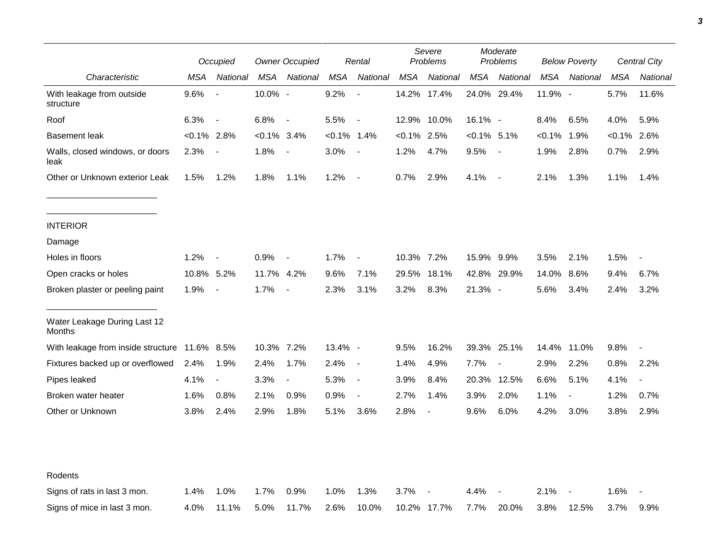|                                               |                | Occupied                 | <b>Owner Occupied</b> |                          |                | Rental                   |                | Severe<br>Problems |               | Moderate<br>Problems     |           | <b>Below Poverty</b>     |           | <b>Central City</b>      |  |
|-----------------------------------------------|----------------|--------------------------|-----------------------|--------------------------|----------------|--------------------------|----------------|--------------------|---------------|--------------------------|-----------|--------------------------|-----------|--------------------------|--|
| Characteristic                                | MSA            | National                 | MSA                   | National                 | MSA            | National                 | MSA            | National           | MSA           | National                 | MSA       | National                 | MSA       | National                 |  |
| With leakage from outside<br>structure        | 9.6%           | $\overline{\phantom{a}}$ | 10.0% -               |                          | 9.2%           | $\overline{\phantom{a}}$ |                | 14.2% 17.4%        |               | 24.0% 29.4%              | 11.9% -   |                          | 5.7%      | 11.6%                    |  |
| Roof                                          | 6.3%           | $\overline{\phantom{a}}$ | 6.8%                  | $\overline{\phantom{a}}$ | 5.5%           | $\blacksquare$           |                | 12.9% 10.0%        | 16.1% -       |                          | 8.4%      | 6.5%                     | 4.0%      | 5.9%                     |  |
| <b>Basement leak</b>                          | $< 0.1\%$ 2.8% |                          | $< 0.1\%$             | $3.4\%$                  | $< 0.1\%$ 1.4% |                          | $< 0.1\%$ 2.5% |                    | $<0.1\%$ 5.1% |                          | $< 0.1\%$ | 1.9%                     | $< 0.1\%$ | 2.6%                     |  |
| Walls, closed windows, or doors<br>leak       | 2.3%           | $\blacksquare$           | 1.8%                  | $\overline{\phantom{a}}$ | 3.0%           | $\overline{\phantom{a}}$ | 1.2%           | 4.7%               | 9.5%          | $\overline{\phantom{a}}$ | 1.9%      | 2.8%                     | 0.7%      | 2.9%                     |  |
| Other or Unknown exterior Leak                | 1.5%           | 1.2%                     | 1.8%                  | 1.1%                     | 1.2%           | $\overline{\phantom{a}}$ | 0.7%           | 2.9%               | 4.1%          | $\blacksquare$           | 2.1%      | 1.3%                     | 1.1%      | 1.4%                     |  |
| <b>INTERIOR</b>                               |                |                          |                       |                          |                |                          |                |                    |               |                          |           |                          |           |                          |  |
| Damage                                        |                |                          |                       |                          |                |                          |                |                    |               |                          |           |                          |           |                          |  |
| Holes in floors                               | 1.2%           | $\blacksquare$           | 0.9%                  | $\overline{\phantom{a}}$ | 1.7%           | $\overline{\phantom{a}}$ | 10.3% 7.2%     |                    | 15.9% 9.9%    |                          | 3.5%      | 2.1%                     | 1.5%      | $\overline{\phantom{a}}$ |  |
| Open cracks or holes                          | 10.8% 5.2%     |                          | 11.7% 4.2%            |                          | 9.6%           | 7.1%                     | 29.5%          | 18.1%              | 42.8%         | 29.9%                    | 14.0%     | 8.6%                     | 9.4%      | 6.7%                     |  |
| Broken plaster or peeling paint               | 1.9%           | $\blacksquare$           | 1.7%                  | $\overline{\phantom{a}}$ | 2.3%           | 3.1%                     | 3.2%           | 8.3%               | 21.3% -       |                          | 5.6%      | 3.4%                     | 2.4%      | 3.2%                     |  |
| Water Leakage During Last 12<br>Months        |                |                          |                       |                          |                |                          |                |                    |               |                          |           |                          |           |                          |  |
| With leakage from inside structure 11.6% 8.5% |                |                          | 10.3% 7.2%            |                          | 13.4% -        |                          | 9.5%           | 16.2%              |               | 39.3% 25.1%              |           | 14.4% 11.0%              | 9.8%      |                          |  |
| Fixtures backed up or overflowed              | 2.4%           | 1.9%                     | 2.4%                  | 1.7%                     | 2.4%           | $\overline{\phantom{a}}$ | 1.4%           | 4.9%               | 7.7%          | $\overline{\phantom{a}}$ | 2.9%      | 2.2%                     | 0.8%      | 2.2%                     |  |
| Pipes leaked                                  | 4.1%           | $\overline{\phantom{a}}$ | 3.3%                  | $\overline{\phantom{a}}$ | 5.3%           | $\blacksquare$           | 3.9%           | 8.4%               | 20.3%         | 12.5%                    | 6.6%      | 5.1%                     | 4.1%      | $\overline{\phantom{a}}$ |  |
| Broken water heater                           | 1.6%           | 0.8%                     | 2.1%                  | 0.9%                     | 0.9%           | $\overline{\phantom{a}}$ | 2.7%           | 1.4%               | 3.9%          | 2.0%                     | 1.1%      | $\overline{\phantom{a}}$ | 1.2%      | 0.7%                     |  |
| Other or Unknown                              | 3.8%           | 2.4%                     | 2.9%                  | 1.8%                     | 5.1%           | 3.6%                     | 2.8%           |                    | 9.6%          | 6.0%                     | 4.2%      | 3.0%                     | 3.8%      | 2.9%                     |  |
| Rodents                                       |                |                          |                       |                          |                |                          |                |                    |               |                          |           |                          |           |                          |  |
| Signs of rats in last 3 mon.                  | 1.4%           | 1.0%                     | 1.7%                  | 0.9%                     | 1.0%           | 1.3%                     | 3.7%           |                    | 4.4%          |                          | 2.1%      |                          | 1.6%      |                          |  |
| Signs of mice in last 3 mon.                  | 4.0%           | 11.1%                    | 5.0%                  | 11.7%                    | 2.6%           | 10.0%                    |                | 10.2% 17.7%        | 7.7%          | 20.0%                    | 3.8%      | 12.5%                    | 3.7%      | 9.9%                     |  |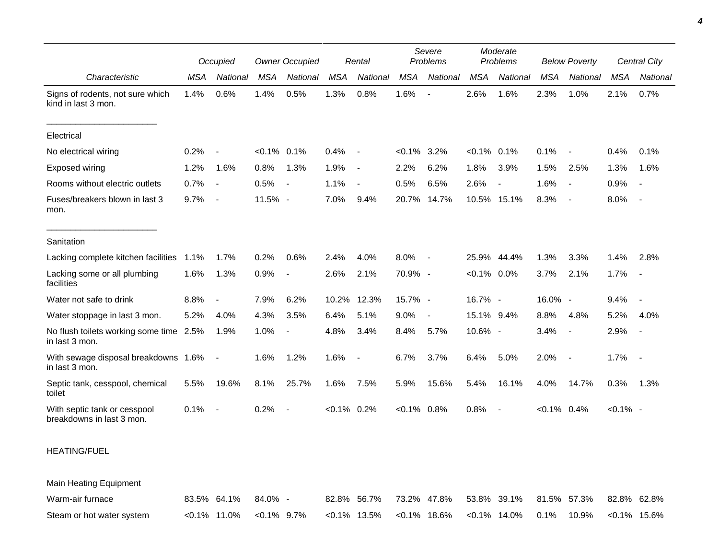|                                                           |            | Occupied                 |                | <b>Owner Occupied</b>    |                | Rental         |            | Severe<br>Problems       |                | Moderate<br>Problems     | <b>Below Poverty</b> |                          | Central City |                          |
|-----------------------------------------------------------|------------|--------------------------|----------------|--------------------------|----------------|----------------|------------|--------------------------|----------------|--------------------------|----------------------|--------------------------|--------------|--------------------------|
| Characteristic                                            | <b>MSA</b> | National                 | <b>MSA</b>     | National                 | <b>MSA</b>     | National       | <b>MSA</b> | National                 | <b>MSA</b>     | National                 | <b>MSA</b>           | National                 | MSA          | National                 |
| Signs of rodents, not sure which<br>kind in last 3 mon.   | 1.4%       | 0.6%                     | 1.4%           | 0.5%                     | 1.3%           | 0.8%           | 1.6%       | $\overline{a}$           | 2.6%           | 1.6%                     | 2.3%                 | 1.0%                     | 2.1%         | 0.7%                     |
| Electrical                                                |            |                          |                |                          |                |                |            |                          |                |                          |                      |                          |              |                          |
| No electrical wiring                                      | 0.2%       | $\overline{\phantom{a}}$ | $< 0.1\%$ 0.1% |                          | 0.4%           | $\blacksquare$ | $< 0.1\%$  | 3.2%                     | $< 0.1\%$ 0.1% |                          | 0.1%                 |                          | 0.4%         | 0.1%                     |
| Exposed wiring                                            | 1.2%       | 1.6%                     | 0.8%           | 1.3%                     | 1.9%           | $\blacksquare$ | 2.2%       | 6.2%                     | 1.8%           | 3.9%                     | 1.5%                 | 2.5%                     | 1.3%         | 1.6%                     |
| Rooms without electric outlets                            | 0.7%       | $\overline{\phantom{a}}$ | 0.5%           | $\sim$                   | 1.1%           | $\blacksquare$ | 0.5%       | 6.5%                     | 2.6%           |                          | 1.6%                 | $\overline{\phantom{a}}$ | 0.9%         | $\overline{\phantom{a}}$ |
| Fuses/breakers blown in last 3<br>mon.                    | 9.7%       | $\blacksquare$           | 11.5% -        |                          | 7.0%           | 9.4%           | 20.7%      | 14.7%                    | 10.5%          | 15.1%                    | 8.3%                 | $\overline{\phantom{a}}$ | 8.0%         | $\overline{\phantom{a}}$ |
| Sanitation                                                |            |                          |                |                          |                |                |            |                          |                |                          |                      |                          |              |                          |
| Lacking complete kitchen facilities                       | 1.1%       | 1.7%                     | 0.2%           | 0.6%                     | 2.4%           | 4.0%           | 8.0%       | $\overline{\phantom{a}}$ | 25.9%          | 44.4%                    | 1.3%                 | 3.3%                     | 1.4%         | 2.8%                     |
| Lacking some or all plumbing<br>facilities                | 1.6%       | 1.3%                     | 0.9%           | $\overline{\phantom{a}}$ | 2.6%           | 2.1%           | 70.9% -    |                          | $< 0.1\%$ 0.0% |                          | 3.7%                 | 2.1%                     | 1.7%         | $\blacksquare$           |
| Water not safe to drink                                   | 8.8%       | $\blacksquare$           | 7.9%           | 6.2%                     | 10.2%          | 12.3%          | 15.7% -    |                          | 16.7% -        |                          | 16.0% -              |                          | 9.4%         | $\overline{\phantom{a}}$ |
| Water stoppage in last 3 mon.                             | 5.2%       | 4.0%                     | 4.3%           | 3.5%                     | 6.4%           | 5.1%           | 9.0%       | $\blacksquare$           | 15.1% 9.4%     |                          | 8.8%                 | 4.8%                     | 5.2%         | 4.0%                     |
| No flush toilets working some time 2.5%<br>in last 3 mon. |            | 1.9%                     | 1.0%           | $\overline{\phantom{a}}$ | 4.8%           | 3.4%           | 8.4%       | 5.7%                     | 10.6% -        |                          | 3.4%                 | $\blacksquare$           | 2.9%         | $\overline{\phantom{a}}$ |
| With sewage disposal breakdowns 1.6%<br>in last 3 mon.    |            | $\blacksquare$           | 1.6%           | 1.2%                     | 1.6%           |                | 6.7%       | 3.7%                     | 6.4%           | 5.0%                     | 2.0%                 | $\overline{\phantom{a}}$ | 1.7%         | $\sim$                   |
| Septic tank, cesspool, chemical<br>toilet                 | 5.5%       | 19.6%                    | 8.1%           | 25.7%                    | 1.6%           | 7.5%           | 5.9%       | 15.6%                    | 5.4%           | 16.1%                    | 4.0%                 | 14.7%                    | 0.3%         | 1.3%                     |
| With septic tank or cesspool<br>breakdowns in last 3 mon. | 0.1%       | $\overline{\phantom{a}}$ | 0.2%           | $\sim$                   | $< 0.1\%$ 0.2% |                | $< 0.1\%$  | 0.8%                     | 0.8%           | $\overline{\phantom{a}}$ | $< 0.1\%$ 0.4%       |                          | $< 0.1\%$ -  |                          |

## HEATING/FUEL

Main Heating Equipment

| Warm-air furnace          | 83.5% 64.1% 84.0% - |                                |                                                                            |  | 82.8% 56.7% 73.2% 47.8% 53.8% 39.1% 81.5% 57.3% 82.8% 62.8% |  |
|---------------------------|---------------------|--------------------------------|----------------------------------------------------------------------------|--|-------------------------------------------------------------|--|
| Steam or hot water system |                     | $< 0.1\%$ 11.0% $< 0.1\%$ 9.7% | $\{0.1\%$ 13.5% < $0.1\%$ 18.6% < $0.1\%$ 14.0% 0.1% 10.9% < $0.1\%$ 15.6% |  |                                                             |  |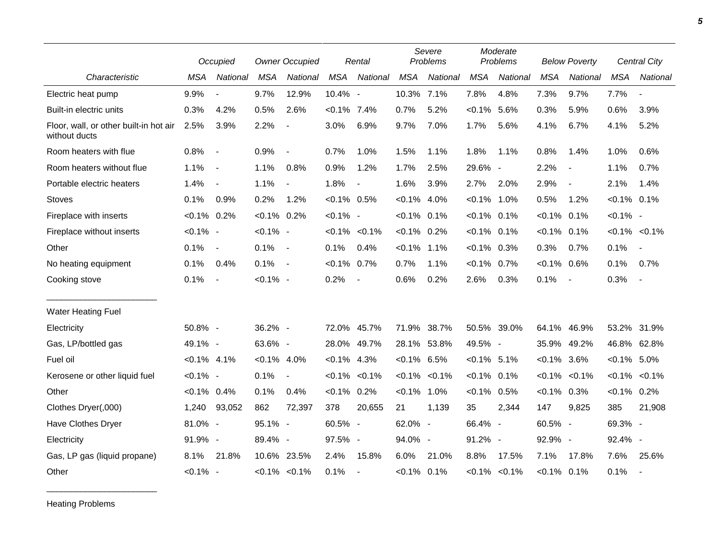|                                                         |                | Occupied                 | <b>Owner Occupied</b> |                          |                | Rental                   | Severe<br>Problems |                     |                | Moderate<br>Problems |                | <b>Below Poverty</b>     |                | Central City             |
|---------------------------------------------------------|----------------|--------------------------|-----------------------|--------------------------|----------------|--------------------------|--------------------|---------------------|----------------|----------------------|----------------|--------------------------|----------------|--------------------------|
| Characteristic                                          | MSA            | National                 | <b>MSA</b>            | National                 | <b>MSA</b>     | National                 | <b>MSA</b>         | National            | <b>MSA</b>     | National             | <b>MSA</b>     | National                 | <b>MSA</b>     | National                 |
| Electric heat pump                                      | 9.9%           | $\blacksquare$           | 9.7%                  | 12.9%                    | 10.4% -        |                          | 10.3%              | 7.1%                | 7.8%           | 4.8%                 | 7.3%           | 9.7%                     | 7.7%           | $\overline{\phantom{a}}$ |
| Built-in electric units                                 | 0.3%           | 4.2%                     | 0.5%                  | 2.6%                     | $< 0.1\%$ 7.4% |                          | 0.7%               | 5.2%                | $< 0.1\%$      | 5.6%                 | 0.3%           | 5.9%                     | 0.6%           | 3.9%                     |
| Floor, wall, or other built-in hot air<br>without ducts | 2.5%           | 3.9%                     | 2.2%                  | $\blacksquare$           | 3.0%           | 6.9%                     | 9.7%               | 7.0%                | 1.7%           | 5.6%                 | 4.1%           | 6.7%                     | 4.1%           | 5.2%                     |
| Room heaters with flue                                  | 0.8%           | $\blacksquare$           | 0.9%                  | $\overline{\phantom{a}}$ | 0.7%           | 1.0%                     | 1.5%               | 1.1%                | 1.8%           | 1.1%                 | 0.8%           | 1.4%                     | 1.0%           | 0.6%                     |
| Room heaters without flue                               | 1.1%           | $\sim$                   | 1.1%                  | 0.8%                     | 0.9%           | 1.2%                     | 1.7%               | 2.5%                | 29.6% -        |                      | 2.2%           |                          | 1.1%           | 0.7%                     |
| Portable electric heaters                               | 1.4%           | $\blacksquare$           | 1.1%                  | $\blacksquare$           | 1.8%           | $\overline{\phantom{a}}$ | 1.6%               | 3.9%                | 2.7%           | 2.0%                 | 2.9%           | $\overline{\phantom{a}}$ | 2.1%           | 1.4%                     |
| <b>Stoves</b>                                           | 0.1%           | 0.9%                     | 0.2%                  | 1.2%                     | $< 0.1\%$ 0.5% |                          | $< 0.1\%$ 4.0%     |                     | $< 0.1\%$      | 1.0%                 | 0.5%           | 1.2%                     | $< 0.1\%$ 0.1% |                          |
| Fireplace with inserts                                  | $< 0.1\%$ 0.2% |                          | $< 0.1\%$ 0.2%        |                          | $< 0.1\%$ -    |                          | $< 0.1\%$ 0.1%     |                     | $< 0.1\%$      | 0.1%                 | $< 0.1\%$ 0.1% |                          | $< 0.1\%$ -    |                          |
| Fireplace without inserts                               | $< 0.1\%$ -    |                          | $< 0.1\%$ -           |                          |                | $< 0.1\% < 0.1\%$        | $< 0.1\%$ 0.2%     |                     | $< 0.1\%$ 0.1% |                      | $< 0.1\%$      | 0.1%                     |                | $< 0.1\%$ $< 0.1\%$      |
| Other                                                   | 0.1%           | $\blacksquare$           | 0.1%                  | $\sim$                   | 0.1%           | 0.4%                     | $< 0.1\%$ 1.1%     |                     | $<0.1\%$ 0.3%  |                      | 0.3%           | 0.7%                     | 0.1%           | $\overline{\phantom{a}}$ |
| No heating equipment                                    | 0.1%           | 0.4%                     | 0.1%                  | $\sim$                   | $< 0.1\%$ 0.7% |                          | 0.7%               | 1.1%                | $< 0.1\%$      | 0.7%                 | $< 0.1\%$ 0.6% |                          | 0.1%           | 0.7%                     |
| Cooking stove                                           | 0.1%           | $\overline{\phantom{a}}$ | $< 0.1\%$ -           |                          | 0.2%           | $\overline{\phantom{a}}$ | 0.6%               | 0.2%                | 2.6%           | 0.3%                 | 0.1%           | $\blacksquare$           | 0.3%           | $\sim$                   |
| <b>Water Heating Fuel</b>                               |                |                          |                       |                          |                |                          |                    |                     |                |                      |                |                          |                |                          |
| Electricity                                             | 50.8% -        |                          | 36.2% -               |                          |                | 72.0% 45.7%              | 71.9%              | 38.7%               |                | 50.5% 39.0%          | 64.1%          | 46.9%                    | 53.2%          | 31.9%                    |
| Gas, LP/bottled gas                                     | 49.1% -        |                          | 63.6% -               |                          |                | 28.0% 49.7%              | 28.1%              | 53.8%               | 49.5% -        |                      | 35.9%          | 49.2%                    |                | 46.8% 62.8%              |
| Fuel oil                                                | $< 0.1\%$ 4.1% |                          | $< 0.1\%$ 4.0%        |                          | $< 0.1\%$ 4.3% |                          | $< 0.1\%$ 6.5%     |                     | $< 0.1\%$ 5.1% |                      | $< 0.1\%$ 3.6% |                          | $< 0.1\%$ 5.0% |                          |
| Kerosene or other liquid fuel                           | $< 0.1\%$ -    |                          | 0.1%                  | $\overline{\phantom{a}}$ |                | $< 0.1\%$ $< 0.1\%$      |                    | $< 0.1\%$ $< 0.1\%$ | $< 0.1\%$      | 0.1%                 | $< 0.1\%$      | < 0.1%                   | $< 0.1\%$      | $< 0.1\%$                |
| Other                                                   | $< 0.1\%$ 0.4% |                          | 0.1%                  | 0.4%                     | $< 0.1\%$ 0.2% |                          | $< 0.1\%$          | 1.0%                | $< 0.1\%$      | 0.5%                 | $< 0.1\%$ 0.3% |                          | $< 0.1\%$ 0.2% |                          |
| Clothes Dryer(,000)                                     | 1,240          | 93,052                   | 862                   | 72,397                   | 378            | 20,655                   | 21                 | 1,139               | 35             | 2,344                | 147            | 9,825                    | 385            | 21,908                   |
| Have Clothes Dryer                                      | 81.0% -        |                          | 95.1% -               |                          | 60.5% -        |                          | 62.0% -            |                     | 66.4% -        |                      | 60.5% -        |                          | 69.3% -        |                          |
| Electricity                                             | 91.9% -        |                          | 89.4% -               |                          | 97.5% -        |                          | 94.0% -            |                     | 91.2% -        |                      | 92.9% -        |                          | 92.4% -        |                          |
| Gas, LP gas (liquid propane)                            | 8.1%           | 21.8%                    |                       | 10.6% 23.5%              | 2.4%           | 15.8%                    | 6.0%               | 21.0%               | 8.8%           | 17.5%                | 7.1%           | 17.8%                    | 7.6%           | 25.6%                    |
| Other                                                   | $< 0.1\%$ -    |                          |                       | $< 0.1\%$ $< 0.1\%$      | 0.1%           | $\blacksquare$           | $< 0.1\%$ 0.1%     |                     |                | $< 0.1\%$ $< 0.1\%$  | $< 0.1\%$ 0.1% |                          | 0.1%           | $\overline{\phantom{a}}$ |

Heating Problems

\_\_\_\_\_\_\_\_\_\_\_\_\_\_\_\_\_\_\_\_\_\_\_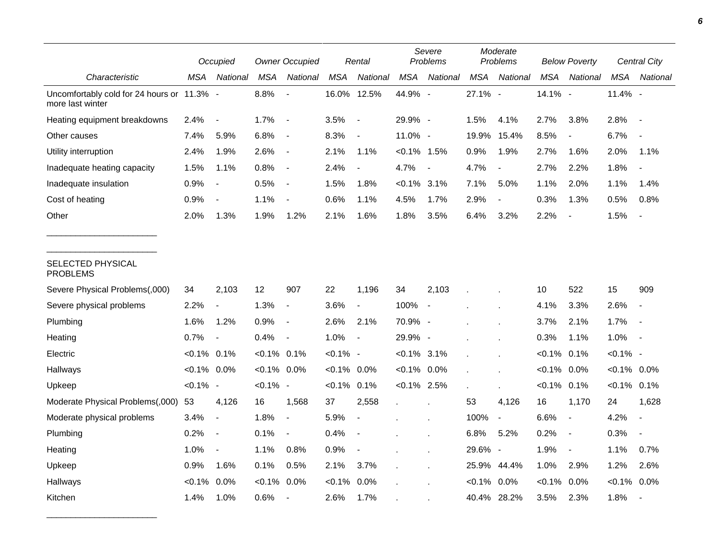|                                                                | Occupied       |                          | <b>Owner Occupied</b> |                          |                | Rental                   |                | Severe<br>Problems       |            | Moderate<br>Problems     | <b>Below Poverty</b> |                          | <b>Central City</b> |                          |
|----------------------------------------------------------------|----------------|--------------------------|-----------------------|--------------------------|----------------|--------------------------|----------------|--------------------------|------------|--------------------------|----------------------|--------------------------|---------------------|--------------------------|
| Characteristic                                                 | MSA            | National                 | <b>MSA</b>            | National                 | <b>MSA</b>     | National                 | <b>MSA</b>     | National                 | <b>MSA</b> | National                 | <b>MSA</b>           | National                 | MSA                 | National                 |
| Uncomfortably cold for 24 hours or 11.3% -<br>more last winter |                |                          | 8.8%                  |                          |                | 16.0% 12.5%              | 44.9% -        |                          | 27.1% -    |                          | 14.1% -              |                          | 11.4% -             |                          |
| Heating equipment breakdowns                                   | 2.4%           | $\blacksquare$           | 1.7%                  | $\blacksquare$           | 3.5%           | $\overline{\phantom{a}}$ | 29.9% -        |                          | 1.5%       | 4.1%                     | 2.7%                 | 3.8%                     | 2.8%                | $\overline{\phantom{a}}$ |
| Other causes                                                   | 7.4%           | 5.9%                     | 6.8%                  |                          | 8.3%           | $\overline{\phantom{a}}$ | 11.0% -        |                          | 19.9%      | 15.4%                    | 8.5%                 | $\overline{\phantom{a}}$ | 6.7%                |                          |
| Utility interruption                                           | 2.4%           | 1.9%                     | 2.6%                  | $\blacksquare$           | 2.1%           | 1.1%                     | $< 0.1\%$ 1.5% |                          | 0.9%       | 1.9%                     | 2.7%                 | 1.6%                     | 2.0%                | 1.1%                     |
| Inadequate heating capacity                                    | 1.5%           | 1.1%                     | 0.8%                  | $\overline{\phantom{a}}$ | 2.4%           | $\overline{a}$           | 4.7%           | $\blacksquare$           | 4.7%       | $\overline{\phantom{a}}$ | 2.7%                 | 2.2%                     | 1.8%                |                          |
| Inadequate insulation                                          | 0.9%           | $\overline{\phantom{a}}$ | 0.5%                  | $\overline{\phantom{a}}$ | 1.5%           | 1.8%                     | $< 0.1\%$ 3.1% |                          | 7.1%       | 5.0%                     | 1.1%                 | 2.0%                     | 1.1%                | 1.4%                     |
| Cost of heating                                                | 0.9%           |                          | 1.1%                  |                          | 0.6%           | 1.1%                     | 4.5%           | 1.7%                     | 2.9%       |                          | 0.3%                 | 1.3%                     | 0.5%                | 0.8%                     |
| Other                                                          | 2.0%           | 1.3%                     | 1.9%                  | 1.2%                     | 2.1%           | 1.6%                     | 1.8%           | 3.5%                     | 6.4%       | 3.2%                     | 2.2%                 | $\overline{\phantom{a}}$ | 1.5%                |                          |
| SELECTED PHYSICAL<br><b>PROBLEMS</b>                           |                |                          |                       |                          |                |                          |                |                          |            |                          |                      |                          |                     |                          |
| Severe Physical Problems(,000)                                 | 34             | 2,103                    | 12                    | 907                      | 22             | 1,196                    | 34             | 2,103                    |            |                          | 10                   | 522                      | 15                  | 909                      |
| Severe physical problems                                       | 2.2%           | $\overline{\phantom{a}}$ | 1.3%                  | $\blacksquare$           | 3.6%           | $\overline{\phantom{a}}$ | 100%           | $\overline{\phantom{a}}$ |            |                          | 4.1%                 | 3.3%                     | 2.6%                | $\blacksquare$           |
| Plumbing                                                       | 1.6%           | 1.2%                     | 0.9%                  | $\blacksquare$           | 2.6%           | 2.1%                     | 70.9% -        |                          |            |                          | 3.7%                 | 2.1%                     | 1.7%                | $\overline{\phantom{a}}$ |
| Heating                                                        | 0.7%           | $\overline{\phantom{a}}$ | 0.4%                  | $\overline{\phantom{a}}$ | 1.0%           | $\blacksquare$           | 29.9% -        |                          |            |                          | 0.3%                 | 1.1%                     | 1.0%                |                          |
| Electric                                                       | $< 0.1\%$ 0.1% |                          | $< 0.1\%$ 0.1%        |                          | $< 0.1\%$ -    |                          | $< 0.1\%$ 3.1% |                          |            |                          | $< 0.1\%$            | 0.1%                     | $< 0.1\%$ -         |                          |
| Hallways                                                       | $< 0.1\%$ 0.0% |                          | $< 0.1\%$ 0.0%        |                          | $< 0.1\%$ 0.0% |                          | $< 0.1\%$ 0.0% |                          |            |                          | $< 0.1\%$ 0.0%       |                          | $< 0.1\%$ 0.0%      |                          |
| Upkeep                                                         | $< 0.1\%$ -    |                          | $< 0.1\%$ -           |                          | $< 0.1\%$      | 0.1%                     | $< 0.1\%$ 2.5% |                          |            |                          | $< 0.1\%$ 0.1%       |                          | $< 0.1\%$ 0.1%      |                          |
| Moderate Physical Problems(,000)                               | 53             | 4,126                    | 16                    | 1,568                    | 37             | 2,558                    | $\mathbf{r}$   |                          | 53         | 4,126                    | 16                   | 1,170                    | 24                  | 1,628                    |
| Moderate physical problems                                     | 3.4%           | $\blacksquare$           | 1.8%                  | $\overline{\phantom{a}}$ | 5.9%           | $\overline{\phantom{a}}$ |                |                          | 100%       | $\blacksquare$           | 6.6%                 | $\overline{\phantom{a}}$ | 4.2%                | $\blacksquare$           |
| Plumbing                                                       | 0.2%           | $\overline{\phantom{a}}$ | 0.1%                  | $\overline{\phantom{a}}$ | 0.4%           | $\overline{\phantom{a}}$ |                |                          | 6.8%       | 5.2%                     | 0.2%                 | $\overline{\phantom{a}}$ | 0.3%                |                          |
| Heating                                                        | 1.0%           | $\overline{\phantom{a}}$ | 1.1%                  | 0.8%                     | 0.9%           | $\overline{\phantom{a}}$ |                |                          | 29.6% -    |                          | 1.9%                 | $\overline{\phantom{a}}$ | 1.1%                | 0.7%                     |
| Upkeep                                                         | 0.9%           | 1.6%                     | 0.1%                  | 0.5%                     | 2.1%           | 3.7%                     |                |                          | 25.9%      | 44.4%                    | 1.0%                 | 2.9%                     | 1.2%                | 2.6%                     |
| Hallways                                                       | $< 0.1\%$      | 0.0%                     | $< 0.1\%$             | 0.0%                     | $< 0.1\%$      | 0.0%                     |                |                          | $< 0.1\%$  | 0.0%                     | $< 0.1\%$            | 0.0%                     | $< 0.1\%$           | 0.0%                     |
| Kitchen                                                        | 1.4%           | 1.0%                     | 0.6%                  |                          | 2.6%           | 1.7%                     |                |                          | 40.4%      | 28.2%                    | 3.5%                 | 2.3%                     | 1.8%                |                          |

\_\_\_\_\_\_\_\_\_\_\_\_\_\_\_\_\_\_\_\_\_\_\_